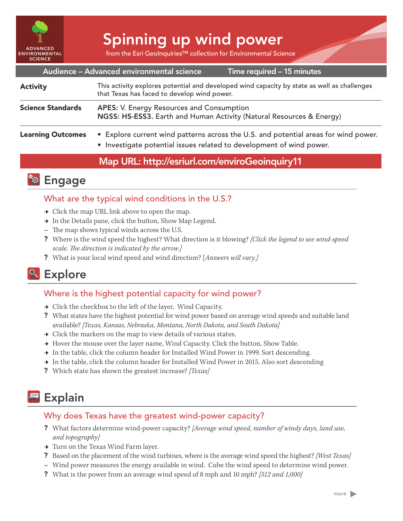

# Spinning up wind power

from the Esri GeoInquiries™ collection for Environmental Science

| Audience - Advanced environmental science<br>Time required - 15 minutes |                                                                                                                                                             |
|-------------------------------------------------------------------------|-------------------------------------------------------------------------------------------------------------------------------------------------------------|
| <b>Activity</b>                                                         | This activity explores potential and developed wind capacity by state as well as challenges<br>that Texas has faced to develop wind power.                  |
| <b>Science Standards</b>                                                | <b>APES:</b> V. Energy Resources and Consumption<br>NGSS: HS-ESS3. Earth and Human Activity (Natural Resources & Energy)                                    |
| <b>Learning Outcomes</b>                                                | • Explore current wind patterns across the U.S. and potential areas for wind power.<br>• Investigate potential issues related to development of wind power. |

### Map URL: http://esriurl.com/enviroGeoinquiry11

### **<b>Engage**

### What are the typical wind conditions in the U.S.?

- $\rightarrow$  Click the map URL link above to open the map.
- → In the Details pane, click the button, Show Map Legend.
- **–** The map shows typical winds across the U.S.
- ? Where is the wind speed the highest? What direction is it blowing? *[Click the legend to see wind-speed scale. The direction is indicated by the arrow.]*
- ? What is your local wind speed and wind direction? [*Answers will vary.]*

## <sup>o</sup> Explore

### Where is the highest potential capacity for wind power?

- $\rightarrow$  Click the checkbox to the left of the layer, Wind Capacity.
- ? What states have the highest potential for wind power based on average wind speeds and suitable land available? *[Texas, Kansas, Nebraska, Montana, North Dakota, and South Dakota]*
- $\rightarrow$  Click the markers on the map to view details of various states.
- → Hover the mouse over the layer name, Wind Capacity. Click the button, Show Table.
- → In the table, click the column header for Installed Wind Power in 1999. Sort descending.
- → In the table, click the column header for Installed Wind Power in 2015. Also sort descending
- ? Which state has shown the greatest increase? *[Texas]*

# **Explain**

#### Why does Texas have the greatest wind-power capacity?

- ? What factors determine wind-power capacity? *[Average wind speed, number of windy days, land use, and topography]*
- → Turn on the Texas Wind Farm layer.
- ? Based on the placement of the wind turbines, where is the average wind speed the highest? *[West Texas]*
- **–** Wind power measures the energy available in wind. Cube the wind speed to determine wind power.
- ? What is the power from an average wind speed of 8 mph and 10 mph? *[512 and 1,000]*